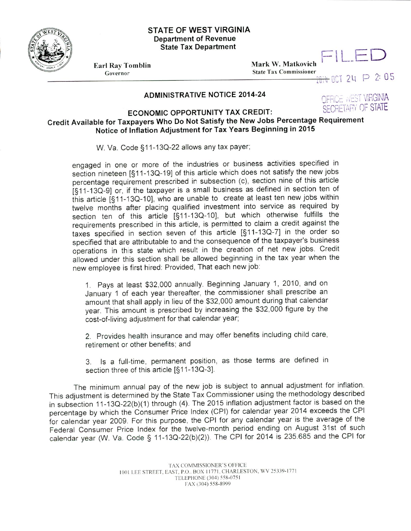

## **STATE OF WEST VIRGINIA Department of Revenue State Tax Department**

Earl Ray Tomblin **Mark** W. Matkovich Governor **State Tax Commissioner**

 $H$  OCT 24  $P$  2:05

## ADMINISTRATIVE NOTICE 2014-24 **EADMINISTRATIVE NOTICE 2014-24**

## **ECONOMIC OPPORTUNITY TAX CREDIT:** SECRETARY OF STATE **Credit Available for Taxpayers Who Do Not Satisfy the New Jobs Percentage Requirement Notice of Inflation Adjustment for Tax Years Beginning in 2015**

W. Va. Code §11-13Q-22 allows any tax payer;

engaged in one or more of the industries or business activities specified in section nineteen [§11-13Q-19] of this article which does not satisfy the new jobs percentage requirement prescribed ir subsection (c), section nine of this article [§11-13Q-9] or, if the taxpayer is a small business as defined in section ten of this article  $[§11-13Q-10]$ , who are unable to create at least ten new jobs within twelve months after placing qualified investment into service as required by section ten of this article [§11-13Q-10], but which otherwise fulfills the requirements prescribed in this article, is permitted to claim a credit against the taxes specified in section seven of this article [§11-13Q-7] in the order so specified that are attributable to and the consequence of the taxpayer's business operations in this state which result in the creation of net new jobs. Credit allowed under this section shall be allowed beginning in the tax year when the new employee is first hired: Provided, That each new job:

1. Pays at least \$32,000 annually. Beginning January 1, 2010, and on January 1 of each year thereafter, the commissioner shall prescribe an amount that shall apply in lieu of the \$32,000 amount during that calendar year. This amount is prescribed by increasing the \$32,000 figure by the cost-of-living adjustment for that calendar year;

2. Provides health insurance and may offer benefits including child care, retirement or other benefits; and

3. Is a full-time, permanent position, as those terms are defined in section three of this article [§11-13Q-3].

The minimum annual pay of the new job is subject to annual adjustment for inflation. This adjustment is determined by the State Tax Commissioner using the methodology described in subsection 11-13Q-22(b)(1) through (4). The 2015 inflation adjustment factor is based on the percentage by which the Consumer Price Index (CPI) for calendar year 2014 exceeds the CPI for calendar year 2009. For this purpose, the CPI for any calendar year is the average of the Federal Consumer Price Index for the twelve-month period ending on August 31st of such calendar year (W. Va. Code § 11-13Q-22(b)(2)). The CPI for 2014 is 235.685 and the CPI for